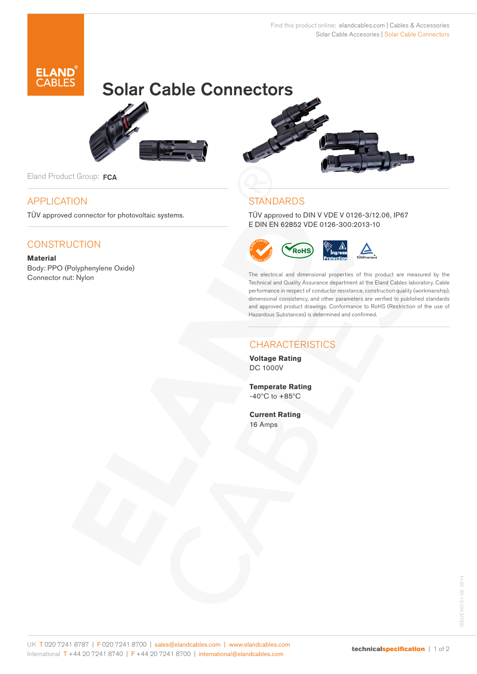

# Solar Cable Connectors



Eland Product Group: FCA

## APPLICATION

TÜV approved connector for photovoltaic systems.

## **CONSTRUCTION**

**Material** Body: PPO (Polyphenylene Oxide) Connector nut: Nylon



# **STANDARDS**

TÜV approved to DIN V VDE V 0126-3/12.06, IP67 E DIN EN 62852 VDE 0126-300:2013-10



The electrical and dimensional properties of this product are measured by the Technical and Quality Assurance department at the Eland Cables laboratory. Cable performance in respect of conductor resistance, construction quality (workmanship), dimensional consistency, and other parameters are verified to published standards and approved product drawings. Conformance to RoHS (Restriction of the use of Hazardous Substances) is determined and confirmed.

# **CHARACTERISTICS**

**Voltage Rating** DC 1000V

**Temperate Rating**  $-40^{\circ}$ C to  $+85^{\circ}$ C

**Current Rating** 16 Amps